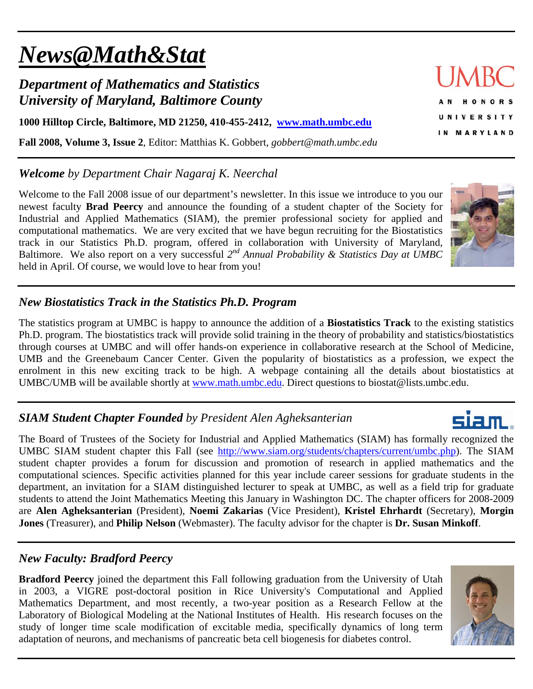# *News@Math&Stat*

## *Department of Mathematics and Statistics University of Maryland, Baltimore County*

**1000 Hilltop Circle, Baltimore, MD 21250, 410-455-2412, www.math.umbc.edu**

**Fall 2008, Volume 3, Issue 2**, Editor: Matthias K. Gobbert, *gobbert@math.umbc.edu* 

### *Welcome by Department Chair Nagaraj K. Neerchal*

Welcome to the Fall 2008 issue of our department's newsletter. In this issue we introduce to you our newest faculty **Brad Peercy** and announce the founding of a student chapter of the Society for Industrial and Applied Mathematics (SIAM), the premier professional society for applied and computational mathematics. We are very excited that we have begun recruiting for the Biostatistics track in our Statistics Ph.D. program, offered in collaboration with University of Maryland, Baltimore. We also report on a very successful *2nd Annual Probability & Statistics Day at UMBC* held in April. Of course, we would love to hear from you!

## *New Biostatistics Track in the Statistics Ph.D. Program*

The statistics program at UMBC is happy to announce the addition of a **Biostatistics Track** to the existing statistics Ph.D. program. The biostatistics track will provide solid training in the theory of probability and statistics/biostatistics through courses at UMBC and will offer hands-on experience in collaborative research at the School of Medicine, UMB and the Greenebaum Cancer Center. Given the popularity of biostatistics as a profession, we expect the enrolment in this new exciting track to be high. A webpage containing all the details about biostatistics at UMBC/UMB will be available shortly at www.math.umbc.edu. Direct questions to biostat@lists.umbc.edu.

## *SIAM Student Chapter Founded by President Alen Agheksanterian*

The Board of Trustees of the Society for Industrial and Applied Mathematics (SIAM) has formally recognized the UMBC SIAM student chapter this Fall (see http://www.siam.org/students/chapters/current/umbc.php). The SIAM student chapter provides a forum for discussion and promotion of research in applied mathematics and the computational sciences. Specific activities planned for this year include career sessions for graduate students in the department, an invitation for a SIAM distinguished lecturer to speak at UMBC, as well as a field trip for graduate students to attend the Joint Mathematics Meeting this January in Washington DC. The chapter officers for 2008-2009 are **Alen Agheksanterian** (President), **Noemi Zakarias** (Vice President), **Kristel Ehrhardt** (Secretary), **Morgin Jones** (Treasurer), and **Philip Nelson** (Webmaster). The faculty advisor for the chapter is **Dr. Susan Minkoff**.

#### *New Faculty: Bradford Peercy*

**Bradford Peercy** joined the department this Fall following graduation from the University of Utah in 2003, a VIGRE post-doctoral position in Rice University's Computational and Applied Mathematics Department, and most recently, a two-year position as a Research Fellow at the Laboratory of Biological Modeling at the National Institutes of Health. His research focuses on the study of longer time scale modification of excitable media, specifically dynamics of long term adaptation of neurons, and mechanisms of pancreatic beta cell biogenesis for diabetes control.



**HONORS UNIVERSITY** IN MARYLAND



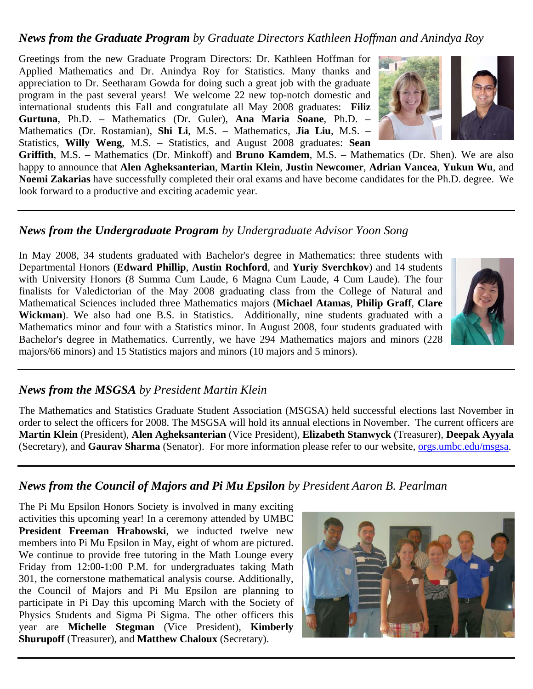#### *News from the Graduate Program by Graduate Directors Kathleen Hoffman and Anindya Roy*

Greetings from the new Graduate Program Directors: Dr. Kathleen Hoffman for Applied Mathematics and Dr. Anindya Roy for Statistics. Many thanks and appreciation to Dr. Seetharam Gowda for doing such a great job with the graduate program in the past several years! We welcome 22 new top-notch domestic and international students this Fall and congratulate all May 2008 graduates: **Filiz Gurtuna**, Ph.D. – Mathematics (Dr. Guler), **Ana Maria Soane**, Ph.D. – Mathematics (Dr. Rostamian), **Shi Li**, M.S. – Mathematics, **Jia Liu**, M.S. – Statistics, **Willy Weng**, M.S. – Statistics, and August 2008 graduates: **Sean** 



**Griffith**, M.S. – Mathematics (Dr. Minkoff) and **Bruno Kamdem**, M.S. – Mathematics (Dr. Shen). We are also happy to announce that **Alen Agheksanterian**, **Martin Klein**, **Justin Newcomer**, **Adrian Vancea**, **Yukun Wu**, and **Noemi Zakarias** have successfully completed their oral exams and have become candidates for the Ph.D. degree. We look forward to a productive and exciting academic year.

#### *News from the Undergraduate Program by Undergraduate Advisor Yoon Song*

In May 2008, 34 students graduated with Bachelor's degree in Mathematics: three students with Departmental Honors (**Edward Phillip**, **Austin Rochford**, and **Yuriy Sverchkov**) and 14 students with University Honors (8 Summa Cum Laude, 6 Magna Cum Laude, 4 Cum Laude). The four finalists for Valedictorian of the May 2008 graduating class from the College of Natural and Mathematical Sciences included three Mathematics majors (**Michael Atamas**, **Philip Graff**, **Clare Wickman**). We also had one B.S. in Statistics. Additionally, nine students graduated with a Mathematics minor and four with a Statistics minor. In August 2008, four students graduated with Bachelor's degree in Mathematics. Currently, we have 294 Mathematics majors and minors (228 majors/66 minors) and 15 Statistics majors and minors (10 majors and 5 minors).



#### *News from the MSGSA by President Martin Klein*

The Mathematics and Statistics Graduate Student Association (MSGSA) held successful elections last November in order to select the officers for 2008. The MSGSA will hold its annual elections in November. The current officers are **Martin Klein** (President), **Alen Agheksanterian** (Vice President), **Elizabeth Stanwyck** (Treasurer), **Deepak Ayyala** (Secretary), and **Gaurav Sharma** (Senator). For more information please refer to our website, orgs.umbc.edu/msgsa.

#### *News from the Council of Majors and Pi Mu Epsilon by President Aaron B. Pearlman*

The Pi Mu Epsilon Honors Society is involved in many exciting activities this upcoming year! In a ceremony attended by UMBC **President Freeman Hrabowski**, we inducted twelve new members into Pi Mu Epsilon in May, eight of whom are pictured. We continue to provide free tutoring in the Math Lounge every Friday from 12:00-1:00 P.M. for undergraduates taking Math 301, the cornerstone mathematical analysis course. Additionally, the Council of Majors and Pi Mu Epsilon are planning to participate in Pi Day this upcoming March with the Society of Physics Students and Sigma Pi Sigma. The other officers this year are **Michelle Stegman** (Vice President), **Kimberly Shurupoff** (Treasurer), and **Matthew Chaloux** (Secretary).

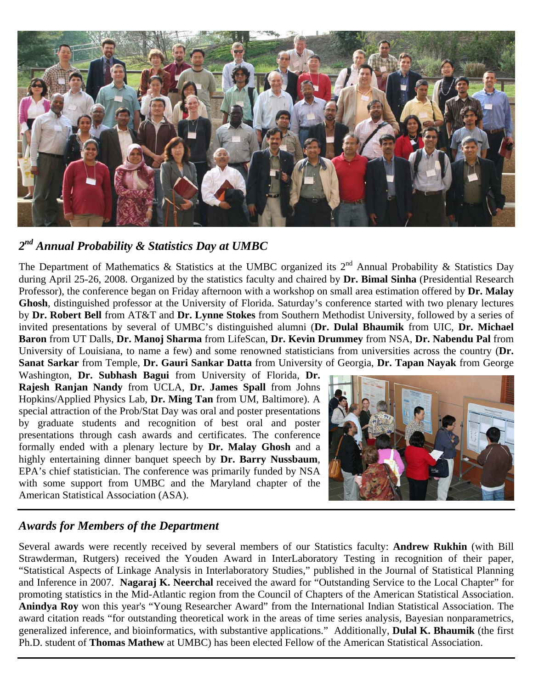

#### *2nd Annual Probability & Statistics Day at UMBC*

The Department of Mathematics & Statistics at the UMBC organized its  $2^{nd}$  Annual Probability & Statistics Day during April 25-26, 2008. Organized by the statistics faculty and chaired by **Dr. Bimal Sinha** (Presidential Research Professor), the conference began on Friday afternoon with a workshop on small area estimation offered by **Dr. Malay Ghosh**, distinguished professor at the University of Florida. Saturday's conference started with two plenary lectures by **Dr. Robert Bell** from AT&T and **Dr. Lynne Stokes** from Southern Methodist University, followed by a series of invited presentations by several of UMBC's distinguished alumni (**Dr. Dulal Bhaumik** from UIC, **Dr. Michael Baron** from UT Dalls, **Dr. Manoj Sharma** from LifeScan, **Dr. Kevin Drummey** from NSA, **Dr. Nabendu Pal** from University of Louisiana, to name a few) and some renowned statisticians from universities across the country (**Dr. Sanat Sarkar** from Temple, **Dr. Gauri Sankar Datta** from University of Georgia, **Dr. Tapan Nayak** from George

Washington, **Dr. Subhash Bagui** from University of Florida, **Dr. Rajesh Ranjan Nandy** from UCLA, **Dr. James Spall** from Johns Hopkins/Applied Physics Lab, **Dr. Ming Tan** from UM, Baltimore). A special attraction of the Prob/Stat Day was oral and poster presentations by graduate students and recognition of best oral and poster presentations through cash awards and certificates. The conference formally ended with a plenary lecture by **Dr. Malay Ghosh** and a highly entertaining dinner banquet speech by **Dr. Barry Nussbaum**, EPA's chief statistician. The conference was primarily funded by NSA with some support from UMBC and the Maryland chapter of the American Statistical Association (ASA).



#### *Awards for Members of the Department*

Several awards were recently received by several members of our Statistics faculty: **Andrew Rukhin** (with Bill Strawderman, Rutgers) received the Youden Award in InterLaboratory Testing in recognition of their paper, "Statistical Aspects of Linkage Analysis in Interlaboratory Studies," published in the Journal of Statistical Planning and Inference in 2007. **Nagaraj K. Neerchal** received the award for "Outstanding Service to the Local Chapter" for promoting statistics in the Mid-Atlantic region from the Council of Chapters of the American Statistical Association. **Anindya Roy** won this year's "Young Researcher Award" from the International Indian Statistical Association. The award citation reads "for outstanding theoretical work in the areas of time series analysis, Bayesian nonparametrics, generalized inference, and bioinformatics, with substantive applications." Additionally, **Dulal K. Bhaumik** (the first Ph.D. student of **Thomas Mathew** at UMBC) has been elected Fellow of the American Statistical Association.